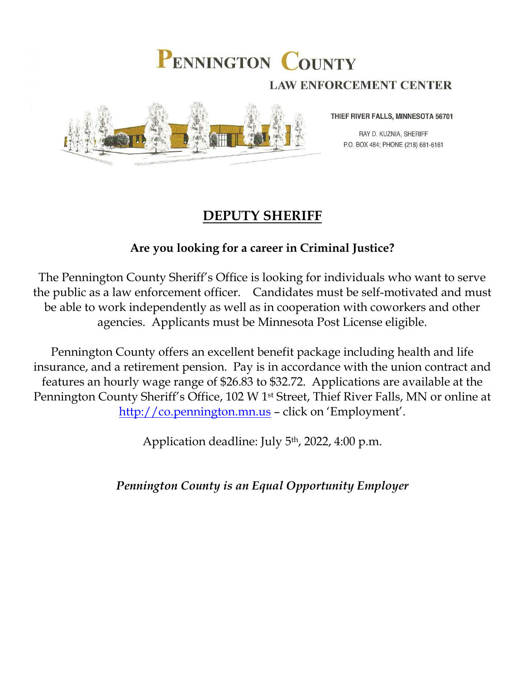## PENNINGTON COUNTY **LAW ENFORCEMENT CENTER**



THIEF RIVER FALLS, MINNESOTA 56701

RAY D. KUZNIA, SHERIFF P.O. BOX 484; PHONE (218) 681-6161

## **DEPUTY SHERIFF**

### **Are you looking for a career in Criminal Justice?**

The Pennington County Sheriff's Office is looking for individuals who want to serve the public as a law enforcement officer. Candidates must be self-motivated and must be able to work independently as well as in cooperation with coworkers and other agencies. Applicants must be Minnesota Post License eligible.

Pennington County offers an excellent benefit package including health and life insurance, and a retirement pension. Pay is in accordance with the union contract and features an hourly wage range of \$26.83 to \$32.72. Applications are available at the Pennington County Sheriff's Office, 102 W 1st Street, Thief River Falls, MN or online at [http://co.pennington.mn.us](http://co.pennington.mn.us/) – click on 'Employment'.

Application deadline: July 5th, 2022, 4:00 p.m.

*Pennington County is an Equal Opportunity Employer*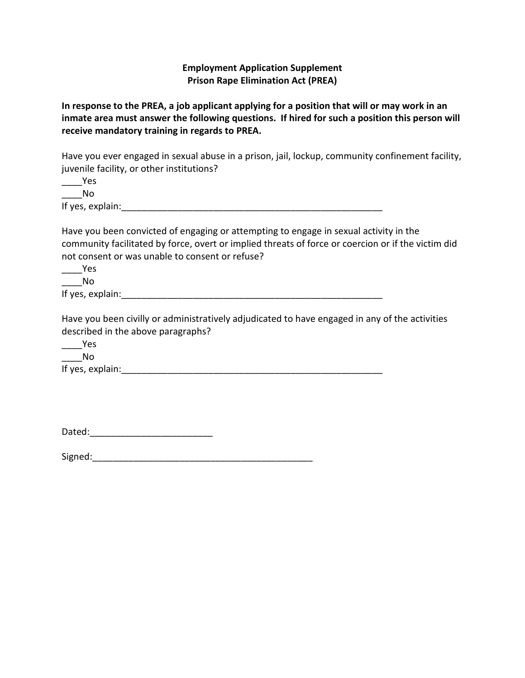#### **Employment Application Supplement Prison Rape Elimination Act (PREA)**

**In response to the PREA, a job applicant applying for a position that will or may work in an inmate area must answer the following questions. If hired for such a position this person will receive mandatory training in regards to PREA.**

Have you ever engaged in sexual abuse in a prison, jail, lockup, community confinement facility, juvenile facility, or other institutions?

| Yes |
|-----|
| Nο  |
|     |

If yes, explain: The same state of the state of the state of the state of the state of the state of the state o

Have you been convicted of engaging or attempting to engage in sexual activity in the community facilitated by force, overt or implied threats of force or coercion or if the victim did not consent or was unable to consent or refuse?

 $\frac{1}{2}$  Yes  $\blacksquare$ 

If yes, explain:\_\_\_\_\_\_\_\_\_\_\_\_\_\_\_\_\_\_\_\_\_\_\_\_\_\_\_\_\_\_\_\_\_\_\_\_\_\_\_\_\_\_\_\_\_\_\_\_\_\_\_

Have you been civilly or administratively adjudicated to have engaged in any of the activities described in the above paragraphs?

\_\_\_\_Yes \_\_\_\_No If yes, explain:

| Dated: |  |
|--------|--|
|        |  |

Signed:\_\_\_\_\_\_\_\_\_\_\_\_\_\_\_\_\_\_\_\_\_\_\_\_\_\_\_\_\_\_\_\_\_\_\_\_\_\_\_\_\_\_\_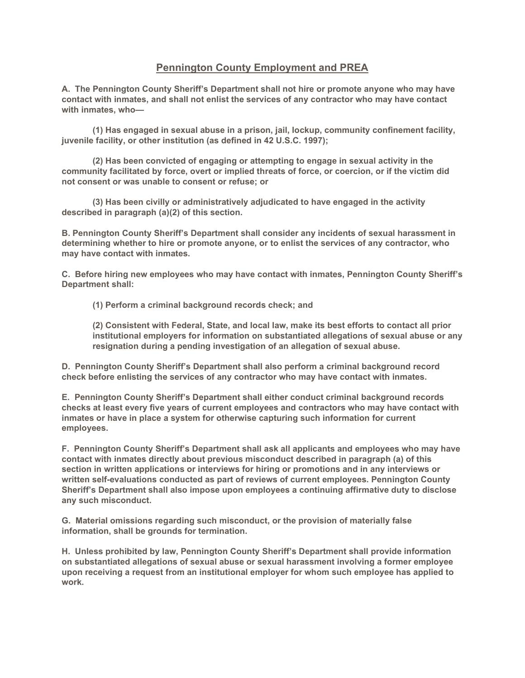#### **Pennington County Employment and PREA**

**A. The Pennington County Sheriff's Department shall not hire or promote anyone who may have contact with inmates, and shall not enlist the services of any contractor who may have contact with inmates, who—**

**(1) Has engaged in sexual abuse in a prison, jail, lockup, community confinement facility, juvenile facility, or other institution (as defined in 42 U.S.C. 1997);**

**(2) Has been convicted of engaging or attempting to engage in sexual activity in the community facilitated by force, overt or implied threats of force, or coercion, or if the victim did not consent or was unable to consent or refuse; or**

**(3) Has been civilly or administratively adjudicated to have engaged in the activity described in paragraph (a)(2) of this section.**

**B. Pennington County Sheriff's Department shall consider any incidents of sexual harassment in determining whether to hire or promote anyone, or to enlist the services of any contractor, who may have contact with inmates.**

**C. Before hiring new employees who may have contact with inmates, Pennington County Sheriff's Department shall:**

**(1) Perform a criminal background records check; and**

**(2) Consistent with Federal, State, and local law, make its best efforts to contact all prior institutional employers for information on substantiated allegations of sexual abuse or any resignation during a pending investigation of an allegation of sexual abuse.**

**D. Pennington County Sheriff's Department shall also perform a criminal background record check before enlisting the services of any contractor who may have contact with inmates.**

**E. Pennington County Sheriff's Department shall either conduct criminal background records checks at least every five years of current employees and contractors who may have contact with inmates or have in place a system for otherwise capturing such information for current employees.**

**F. Pennington County Sheriff's Department shall ask all applicants and employees who may have contact with inmates directly about previous misconduct described in paragraph (a) of this section in written applications or interviews for hiring or promotions and in any interviews or written self-evaluations conducted as part of reviews of current employees. Pennington County Sheriff's Department shall also impose upon employees a continuing affirmative duty to disclose any such misconduct.**

**G. Material omissions regarding such misconduct, or the provision of materially false information, shall be grounds for termination.**

**H. Unless prohibited by law, Pennington County Sheriff's Department shall provide information on substantiated allegations of sexual abuse or sexual harassment involving a former employee upon receiving a request from an institutional employer for whom such employee has applied to work.**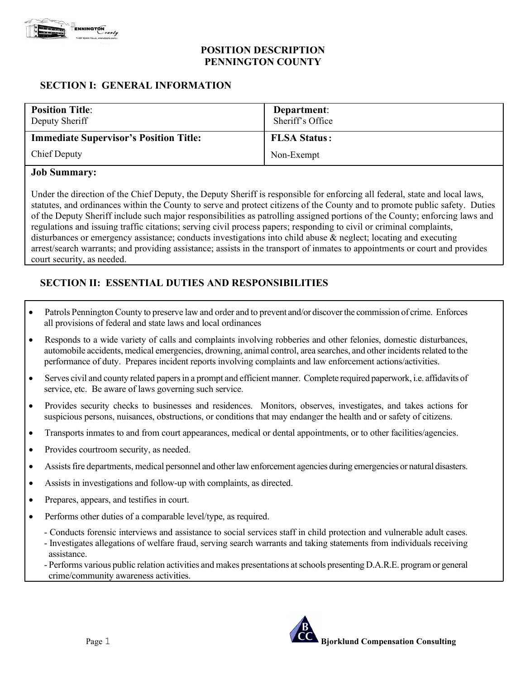

#### **POSITION DESCRIPTION PENNINGTON COUNTY**

#### **SECTION I: GENERAL INFORMATION**

| <b>Position Title:</b><br>Deputy Sheriff      | Department:<br>Sheriff's Office |
|-----------------------------------------------|---------------------------------|
| <b>Immediate Supervisor's Position Title:</b> | <b>FLSA Status:</b>             |
| Chief Deputy                                  | Non-Exempt                      |

#### **Job Summary:**

Under the direction of the Chief Deputy, the Deputy Sheriff is responsible for enforcing all federal, state and local laws, statutes, and ordinances within the County to serve and protect citizens of the County and to promote public safety. Duties of the Deputy Sheriff include such major responsibilities as patrolling assigned portions of the County; enforcing laws and regulations and issuing traffic citations; serving civil process papers; responding to civil or criminal complaints, disturbances or emergency assistance; conducts investigations into child abuse & neglect; locating and executing arrest/search warrants; and providing assistance; assists in the transport of inmates to appointments or court and provides court security, as needed.

#### **SECTION II: ESSENTIAL DUTIES AND RESPONSIBILITIES**

- Patrols Pennington County to preserve law and order and to prevent and/or discover the commission of crime. Enforces all provisions of federal and state laws and local ordinances
- Responds to a wide variety of calls and complaints involving robberies and other felonies, domestic disturbances, automobile accidents, medical emergencies, drowning, animal control, area searches, and other incidents related to the performance of duty. Prepares incident reports involving complaints and law enforcement actions/activities.
- Serves civil and county related papers in a prompt and efficient manner. Complete required paperwork, i.e. affidavits of service, etc. Be aware of laws governing such service.
- Provides security checks to businesses and residences. Monitors, observes, investigates, and takes actions for suspicious persons, nuisances, obstructions, or conditions that may endanger the health and or safety of citizens.
- Transports inmates to and from court appearances, medical or dental appointments, or to other facilities/agencies.
- Provides courtroom security, as needed.
- Assists fire departments, medical personnel and other law enforcement agencies during emergencies or natural disasters.
- Assists in investigations and follow-up with complaints, as directed.
- Prepares, appears, and testifies in court.
- Performs other duties of a comparable level/type, as required.
	- Conducts forensic interviews and assistance to social services staff in child protection and vulnerable adult cases.
	- Investigates allegations of welfare fraud, serving search warrants and taking statements from individuals receiving assistance.
	- Performs various public relation activities and makes presentations at schools presenting D.A.R.E. program or general crime/community awareness activities.

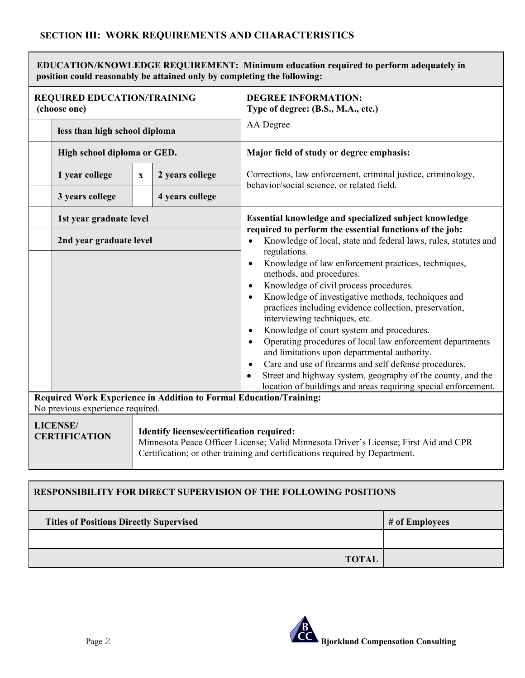| <b>EDUCATION/KNOWLEDGE REQUIREMENT: Minimum education required to perform adequately in</b><br>position could reasonably be attained only by completing the following: |                                                                                                                                                                                                                                                             |             |                                                                  |                                                                                                                                                                                                                                                                                                                                                                                                                                                                                                                                                                                                                                                                                                                                |  |
|------------------------------------------------------------------------------------------------------------------------------------------------------------------------|-------------------------------------------------------------------------------------------------------------------------------------------------------------------------------------------------------------------------------------------------------------|-------------|------------------------------------------------------------------|--------------------------------------------------------------------------------------------------------------------------------------------------------------------------------------------------------------------------------------------------------------------------------------------------------------------------------------------------------------------------------------------------------------------------------------------------------------------------------------------------------------------------------------------------------------------------------------------------------------------------------------------------------------------------------------------------------------------------------|--|
| <b>REQUIRED EDUCATION/TRAINING</b><br>(choose one)                                                                                                                     |                                                                                                                                                                                                                                                             |             | <b>DEGREE INFORMATION:</b><br>Type of degree: (B.S., M.A., etc.) |                                                                                                                                                                                                                                                                                                                                                                                                                                                                                                                                                                                                                                                                                                                                |  |
|                                                                                                                                                                        | less than high school diploma                                                                                                                                                                                                                               |             |                                                                  | AA Degree                                                                                                                                                                                                                                                                                                                                                                                                                                                                                                                                                                                                                                                                                                                      |  |
|                                                                                                                                                                        | High school diploma or GED.                                                                                                                                                                                                                                 |             |                                                                  | Major field of study or degree emphasis:                                                                                                                                                                                                                                                                                                                                                                                                                                                                                                                                                                                                                                                                                       |  |
|                                                                                                                                                                        | 1 year college                                                                                                                                                                                                                                              | $\mathbf X$ | 2 years college                                                  | Corrections, law enforcement, criminal justice, criminology,<br>behavior/social science, or related field.                                                                                                                                                                                                                                                                                                                                                                                                                                                                                                                                                                                                                     |  |
|                                                                                                                                                                        | 3 years college                                                                                                                                                                                                                                             |             | 4 years college                                                  |                                                                                                                                                                                                                                                                                                                                                                                                                                                                                                                                                                                                                                                                                                                                |  |
|                                                                                                                                                                        | 1st year graduate level                                                                                                                                                                                                                                     |             |                                                                  | Essential knowledge and specialized subject knowledge<br>required to perform the essential functions of the job:                                                                                                                                                                                                                                                                                                                                                                                                                                                                                                                                                                                                               |  |
|                                                                                                                                                                        | 2nd year graduate level                                                                                                                                                                                                                                     |             |                                                                  | Knowledge of local, state and federal laws, rules, statutes and<br>regulations.<br>Knowledge of law enforcement practices, techniques,<br>$\bullet$<br>methods, and procedures.<br>Knowledge of civil process procedures.<br>Knowledge of investigative methods, techniques and<br>practices including evidence collection, preservation,<br>interviewing techniques, etc.<br>Knowledge of court system and procedures.<br>Operating procedures of local law enforcement departments<br>and limitations upon departmental authority.<br>Care and use of firearms and self defense procedures.<br>Street and highway system, geography of the county, and the<br>location of buildings and areas requiring special enforcement. |  |
| Required Work Experience in Addition to Formal Education/Training:<br>No previous experience required.                                                                 |                                                                                                                                                                                                                                                             |             |                                                                  |                                                                                                                                                                                                                                                                                                                                                                                                                                                                                                                                                                                                                                                                                                                                |  |
|                                                                                                                                                                        | <b>LICENSE/</b><br>Identify licenses/certification required:<br><b>CERTIFICATION</b><br>Minnesota Peace Officer License; Valid Minnesota Driver's License; First Aid and CPR<br>Certification; or other training and certifications required by Department. |             |                                                                  |                                                                                                                                                                                                                                                                                                                                                                                                                                                                                                                                                                                                                                                                                                                                |  |

# **RESPONSIBILITY FOR DIRECT SUPERVISION OF THE FOLLOWING POSITIONS**  Titles of Positions Directly Supervised **#** of Employees **TOTAL**

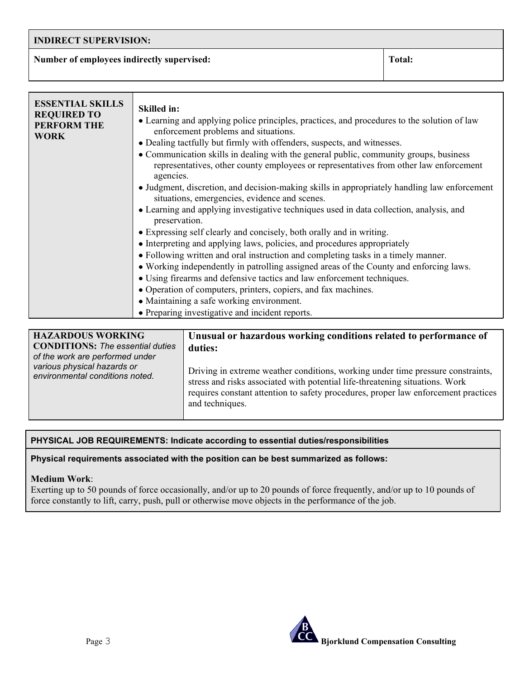#### **INDIRECT SUPERVISION:**

**Number of employees indirectly supervised:** Total: Total:

| <b>Skilled in:</b><br>• Learning and applying police principles, practices, and procedures to the solution of law<br>enforcement problems and situations.<br>• Dealing tactfully but firmly with offenders, suspects, and witnesses.<br>• Communication skills in dealing with the general public, community groups, business<br>representatives, other county employees or representatives from other law enforcement<br>agencies.<br>• Judgment, discretion, and decision-making skills in appropriately handling law enforcement<br>situations, emergencies, evidence and scenes.<br>• Learning and applying investigative techniques used in data collection, analysis, and<br>preservation.<br>• Expressing self clearly and concisely, both orally and in writing.<br>• Interpreting and applying laws, policies, and procedures appropriately<br>• Following written and oral instruction and completing tasks in a timely manner.<br>• Working independently in patrolling assigned areas of the County and enforcing laws.<br>• Using firearms and defensive tactics and law enforcement techniques.<br>• Operation of computers, printers, copiers, and fax machines.<br>• Maintaining a safe working environment. |
|------------------------------------------------------------------------------------------------------------------------------------------------------------------------------------------------------------------------------------------------------------------------------------------------------------------------------------------------------------------------------------------------------------------------------------------------------------------------------------------------------------------------------------------------------------------------------------------------------------------------------------------------------------------------------------------------------------------------------------------------------------------------------------------------------------------------------------------------------------------------------------------------------------------------------------------------------------------------------------------------------------------------------------------------------------------------------------------------------------------------------------------------------------------------------------------------------------------------------|
| • Preparing investigative and incident reports.                                                                                                                                                                                                                                                                                                                                                                                                                                                                                                                                                                                                                                                                                                                                                                                                                                                                                                                                                                                                                                                                                                                                                                              |
|                                                                                                                                                                                                                                                                                                                                                                                                                                                                                                                                                                                                                                                                                                                                                                                                                                                                                                                                                                                                                                                                                                                                                                                                                              |

| <b>HAZARDOUS WORKING</b><br><b>CONDITIONS:</b> The essential duties<br>of the work are performed under | Unusual or hazardous working conditions related to performance of<br>duties:                                                                                                                                                                                             |
|--------------------------------------------------------------------------------------------------------|--------------------------------------------------------------------------------------------------------------------------------------------------------------------------------------------------------------------------------------------------------------------------|
| various physical hazards or<br>environmental conditions noted.                                         | Driving in extreme weather conditions, working under time pressure constraints,<br>stress and risks associated with potential life-threatening situations. Work<br>requires constant attention to safety procedures, proper law enforcement practices<br>and techniques. |

#### **PHYSICAL JOB REQUIREMENTS: Indicate according to essential duties/responsibilities**

**Physical requirements associated with the position can be best summarized as follows:**

#### **Medium Work**:

Exerting up to 50 pounds of force occasionally, and/or up to 20 pounds of force frequently, and/or up to 10 pounds of force constantly to lift, carry, push, pull or otherwise move objects in the performance of the job.